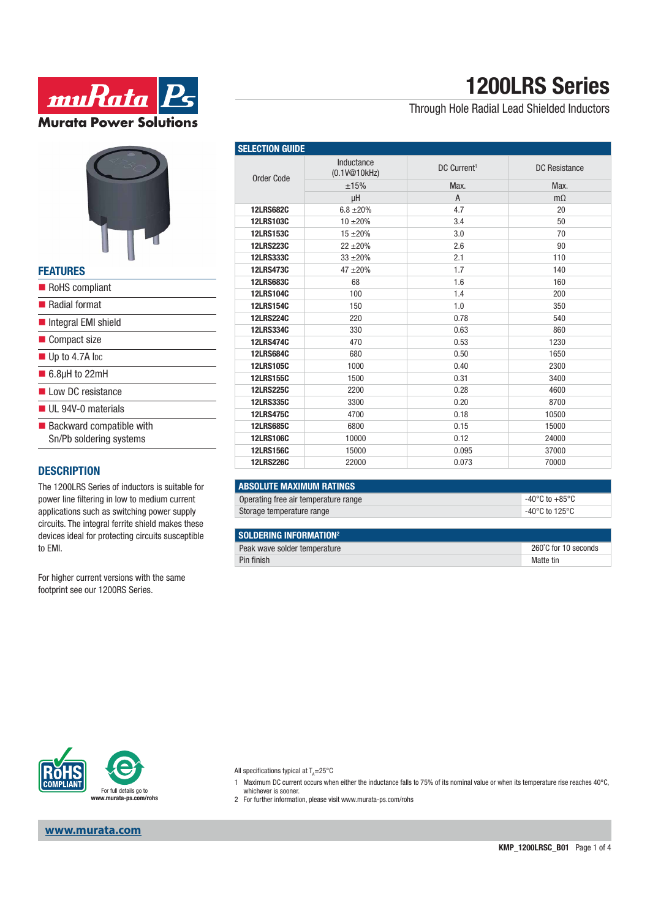



#### **FEATURES**

| RoHS compliant                                                     |
|--------------------------------------------------------------------|
| ■ Radial format                                                    |
| Integral EMI shield                                                |
| Compact size                                                       |
| $\blacksquare$ Up to 4.7A lpc                                      |
| $\blacksquare$ 6.8µH to 22mH                                       |
| low DC resistance                                                  |
| $\blacksquare$ UL 94V-0 materials                                  |
| $\blacksquare$ Backward compatible with<br>Sn/Pb soldering systems |
|                                                                    |

### **DESCRIPTION**

The 1200LRS Series of inductors is suitable for power line filtering in low to medium current applications such as switching power supply circuits. The integral ferrite shield makes these devices ideal for protecting circuits susceptible to EMI.

For higher current versions with the same footprint see our 1200RS Series.

# **1200LRS Series**

### Through Hole Radial Lead Shielded Inductors

| <b>SELECTION GUIDE</b> |                            |                         |                      |  |
|------------------------|----------------------------|-------------------------|----------------------|--|
| <b>Order Code</b>      | Inductance<br>(0.1V@10kHz) | DC Current <sup>1</sup> | <b>DC</b> Resistance |  |
|                        | ±15%                       | Max.                    | Max.                 |  |
|                        | μH                         | $\overline{A}$          | $m\Omega$            |  |
| <b>12LRS682C</b>       | $6.8 \pm 20\%$             | 4.7                     | 20                   |  |
| <b>12LRS103C</b>       | $10 + 20%$                 | 3.4                     | 50                   |  |
| <b>12LRS153C</b>       | $15 + 20%$                 | 3.0                     | 70                   |  |
| <b>12LRS223C</b>       | $22 + 20%$                 | 2.6                     | 90                   |  |
| <b>12LRS333C</b>       | $33 + 20%$                 | 2.1                     | 110                  |  |
| <b>12LRS473C</b>       | $47 + 20%$                 | 1.7                     | 140                  |  |
| <b>12LRS683C</b>       | 68                         | 1.6                     | 160                  |  |
| <b>12LRS104C</b>       | 100                        | 1.4                     | 200                  |  |
| <b>12LRS154C</b>       | 150                        | 1.0                     | 350                  |  |
| <b>12LRS224C</b>       | 220                        | 0.78                    | 540                  |  |
| <b>12LRS334C</b>       | 330                        | 0.63                    | 860                  |  |
| <b>12LRS474C</b>       | 470                        | 0.53                    | 1230                 |  |
| <b>12LRS684C</b>       | 680                        | 0.50                    | 1650                 |  |
| <b>12LRS105C</b>       | 1000                       | 0.40                    | 2300                 |  |
| <b>12LRS155C</b>       | 1500                       | 0.31                    | 3400                 |  |
| <b>12LRS225C</b>       | 2200                       | 0.28                    | 4600                 |  |
| <b>12LRS335C</b>       | 3300                       | 0.20                    | 8700                 |  |
| <b>12LRS475C</b>       | 4700                       | 0.18                    | 10500                |  |
| <b>12LRS685C</b>       | 6800                       | 0.15                    | 15000                |  |
| <b>12LRS106C</b>       | 10000                      | 0.12                    | 24000                |  |
| <b>12LRS156C</b>       | 15000                      | 0.095                   | 37000                |  |
| <b>12LRS226C</b>       | 22000                      | 0.073                   | 70000                |  |

| <b>ABSOLUTE MAXIMUM RATINGS</b>      |                          |
|--------------------------------------|--------------------------|
| Operating free air temperature range | -40°C to $+85^{\circ}$ C |
| Storage temperature range            | -40°C to 125°C           |

#### SOLDERING INFORMATION<sup>2</sup>

| I OOLDENING INI ONDIALION    |                      |
|------------------------------|----------------------|
| Peak wave solder temperature | 260°C for 10 seconds |
| Pin finish                   | Matte tin            |



**www.murata.com**

All specifications typical at  $T_A = 25^{\circ}C$ 

- 1 Maximum DC current occurs when either the inductance falls to 75% of its nominal value or when its temperature rise reaches 40°C,
- whichever is sooner. 2 For further information, please visit www.murata-ps.com/rohs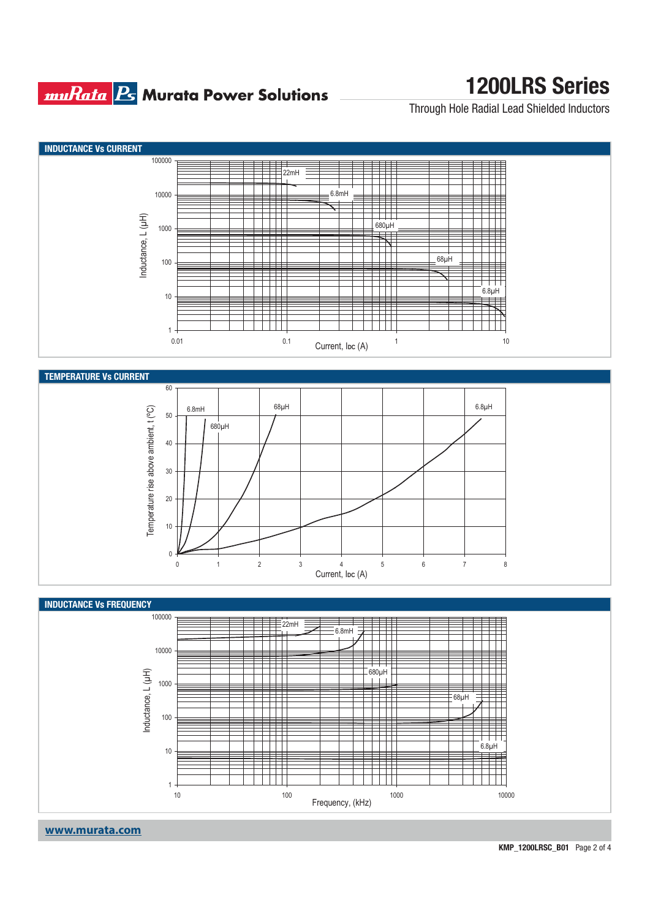### **muRata Ps** Murata Power Solutions

## **1200LRS Series**

Through Hole Radial Lead Shielded Inductors



**www.murata.com**

**KMP\_1200LRSC\_B01** Page 2 of 4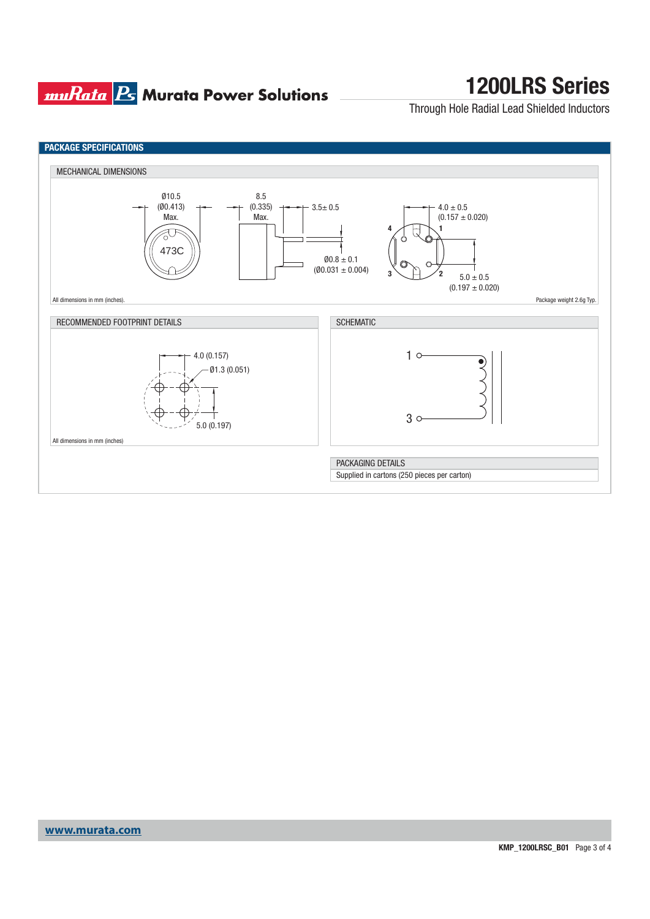### **muRata Ps** Murata Power Solutions

## **1200LRS Series**

Through Hole Radial Lead Shielded Inductors